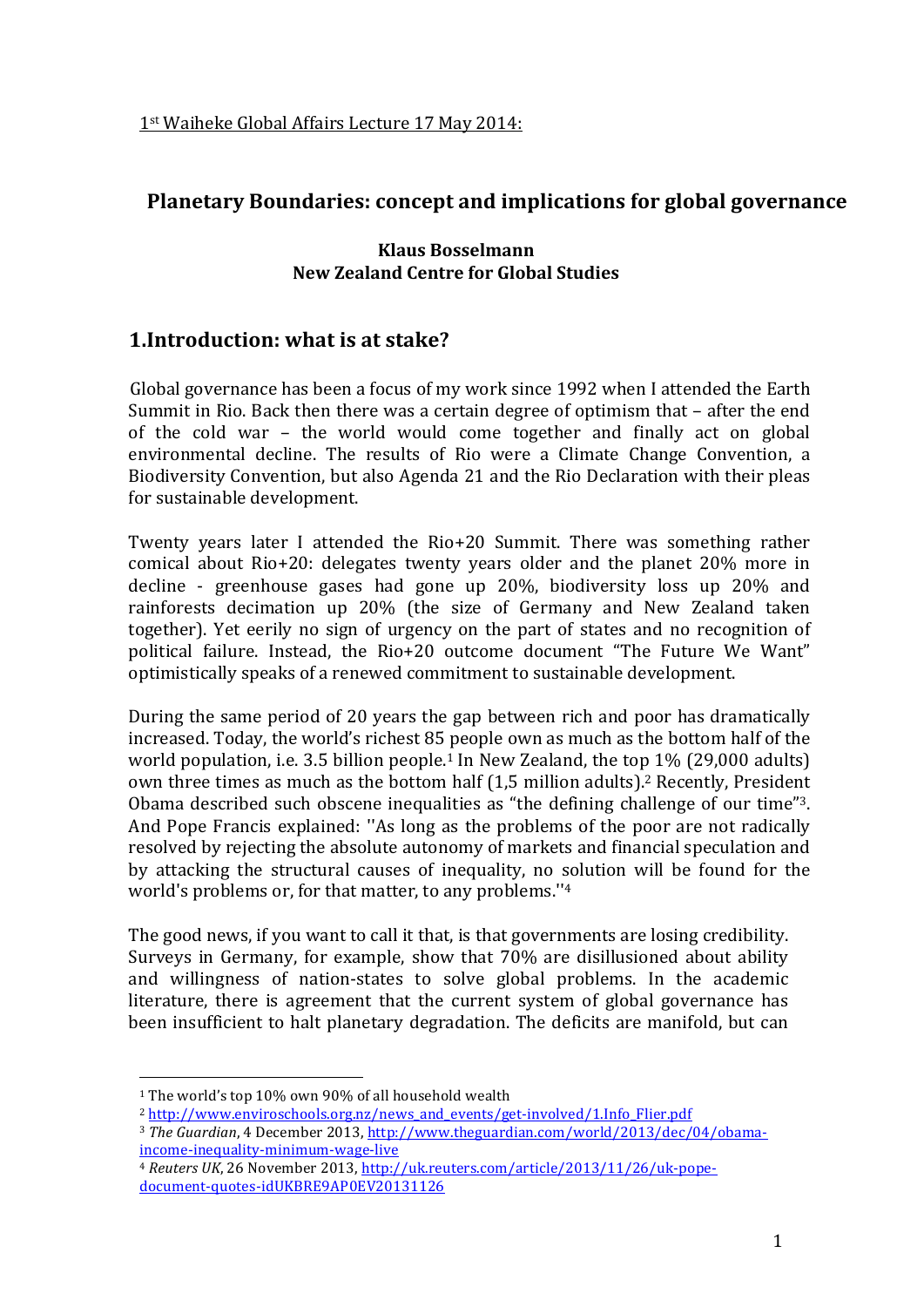## Planetary Boundaries: concept and implications for global governance

### **Klaus Bosselmann New Zealand Centre for Global Studies**

# 1. Introduction: what is at stake?

Global governance has been a focus of my work since 1992 when I attended the Earth Summit in Rio. Back then there was a certain degree of optimism that – after the end of the cold war - the world would come together and finally act on global environmental decline. The results of Rio were a Climate Change Convention, a Biodiversity Convention, but also Agenda 21 and the Rio Declaration with their pleas for sustainable development.

Twenty years later I attended the Rio+20 Summit. There was something rather comical about Rio+20: delegates twenty years older and the planet 20% more in decline - greenhouse gases had gone up 20%, biodiversity loss up 20% and rainforests decimation up 20% (the size of Germany and New Zealand taken together). Yet eerily no sign of urgency on the part of states and no recognition of political failure. Instead, the Rio+20 outcome document "The Future We Want" optimistically speaks of a renewed commitment to sustainable development.

During the same period of 20 years the gap between rich and poor has dramatically increased. Today, the world's richest 85 people own as much as the bottom half of the world population, i.e. 3.5 billion people.<sup>1</sup> In New Zealand, the top  $1\%$  (29,000 adults) own three times as much as the bottom half (1,5 million adults).<sup>2</sup> Recently, President Obama described such obscene inequalities as "the defining challenge of our time"<sup>3</sup>. And Pope Francis explained: "As long as the problems of the poor are not radically resolved by rejecting the absolute autonomy of markets and financial speculation and by attacking the structural causes of inequality, no solution will be found for the world's problems or, for that matter, to any problems."<sup>4</sup>

The good news, if you want to call it that, is that governments are losing credibility. Surveys in Germany, for example, show that 70% are disillusioned about ability and willingness of nation-states to solve global problems. In the academic literature, there is agreement that the current system of global governance has been insufficient to halt planetary degradation. The deficits are manifold, but can

<sup>&</sup>lt;sup>1</sup> The world's top 10% own 90% of all household wealth

<sup>&</sup>lt;sup>2</sup> http://www.enviroschools.org.nz/news\_and\_events/get-involved/1.Info\_Flier.pdf

<sup>&</sup>lt;sup>3</sup> The Guardian, 4 December 2013, http://www.theguardian.com/world/2013/dec/04/obamaincome-inequality-minimum-wage-live

<sup>4</sup> Reuters UK, 26 November 2013, http://uk.reuters.com/article/2013/11/26/uk-popedocument-quotes-idUKBRE9AP0EV20131126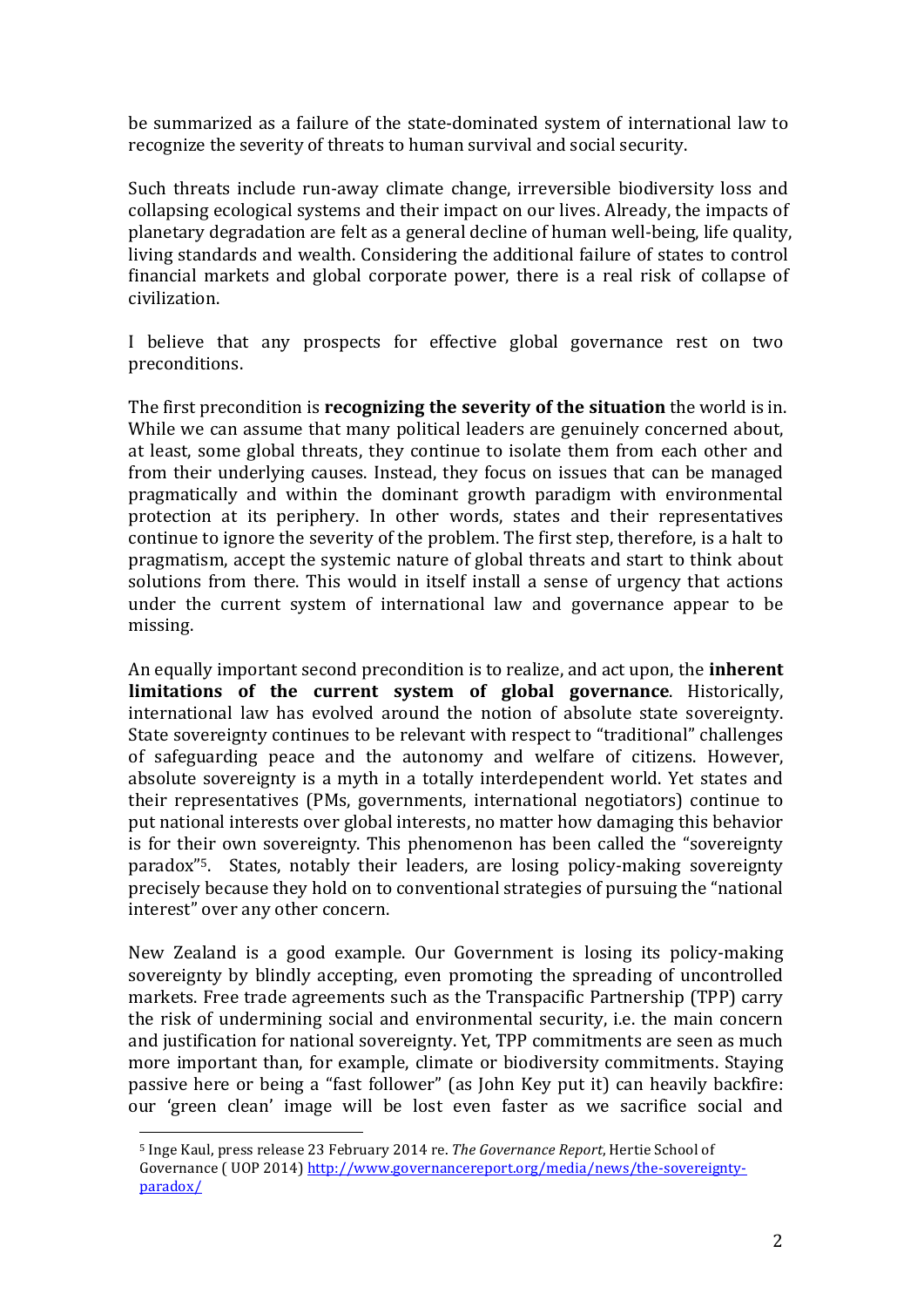be summarized as a failure of the state-dominated system of international law to recognize the severity of threats to human survival and social security.

Such threats include run-away climate change, irreversible biodiversity loss and collapsing ecological systems and their impact on our lives. Already, the impacts of planetary degradation are felt as a general decline of human well-being, life quality, living standards and wealth. Considering the additional failure of states to control financial markets and global corporate power, there is a real risk of collapse of civilization.

I believe that any prospects for effective global governance rest on two preconditions.!

The first precondition is **recognizing the severity of the situation** the world is in. While we can assume that many political leaders are genuinely concerned about, at least, some global threats, they continue to isolate them from each other and from their underlying causes. Instead, they focus on issues that can be managed pragmatically and within the dominant growth paradigm with environmental protection at its periphery. In other words, states and their representatives continue to ignore the severity of the problem. The first step, therefore, is a halt to pragmatism, accept the systemic nature of global threats and start to think about solutions from there. This would in itself install a sense of urgency that actions under the current system of international law and governance appear to be missing.

An equally important second precondition is to realize, and act upon, the **inherent limitations of the current system of global governance.** Historically, international law has evolved around the notion of absolute state sovereignty. State sovereignty continues to be relevant with respect to "traditional" challenges of safeguarding peace and the autonomy and welfare of citizens. However, absolute sovereignty is a myth in a totally interdependent world. Yet states and their representatives (PMs, governments, international negotiators) continue to put national interests over global interests, no matter how damaging this behavior is for their own sovereignty. This phenomenon has been called the "sovereignty" paradox<sup>"5</sup>. States, notably their leaders, are losing policy-making sovereignty precisely because they hold on to conventional strategies of pursuing the "national" interest" over any other concern.

New Zealand is a good example. Our Government is losing its policy-making sovereignty by blindly accepting, even promoting the spreading of uncontrolled markets. Free trade agreements such as the Transpacific Partnership (TPP) carry the risk of undermining social and environmental security, i.e. the main concern and justification for national sovereignty. Yet, TPP commitments are seen as much more important than, for example, climate or biodiversity commitments. Staying passive here or being a "fast follower" (as John Key put it) can heavily backfire: our 'green clean' image will be lost even faster as we sacrifice social and

!!!!!!!!!!!!!!!!!!!!!!!!!!!!!!!!!!!!!!!!!!!!!!!!!!!!!!!

<sup>&</sup>lt;sup>5</sup> Inge Kaul, press release 23 February 2014 re. *The Governance Report*, Hertie School of Governance (UOP 2014) http://www.governancereport.org/media/news/the-sovereigntyparadox/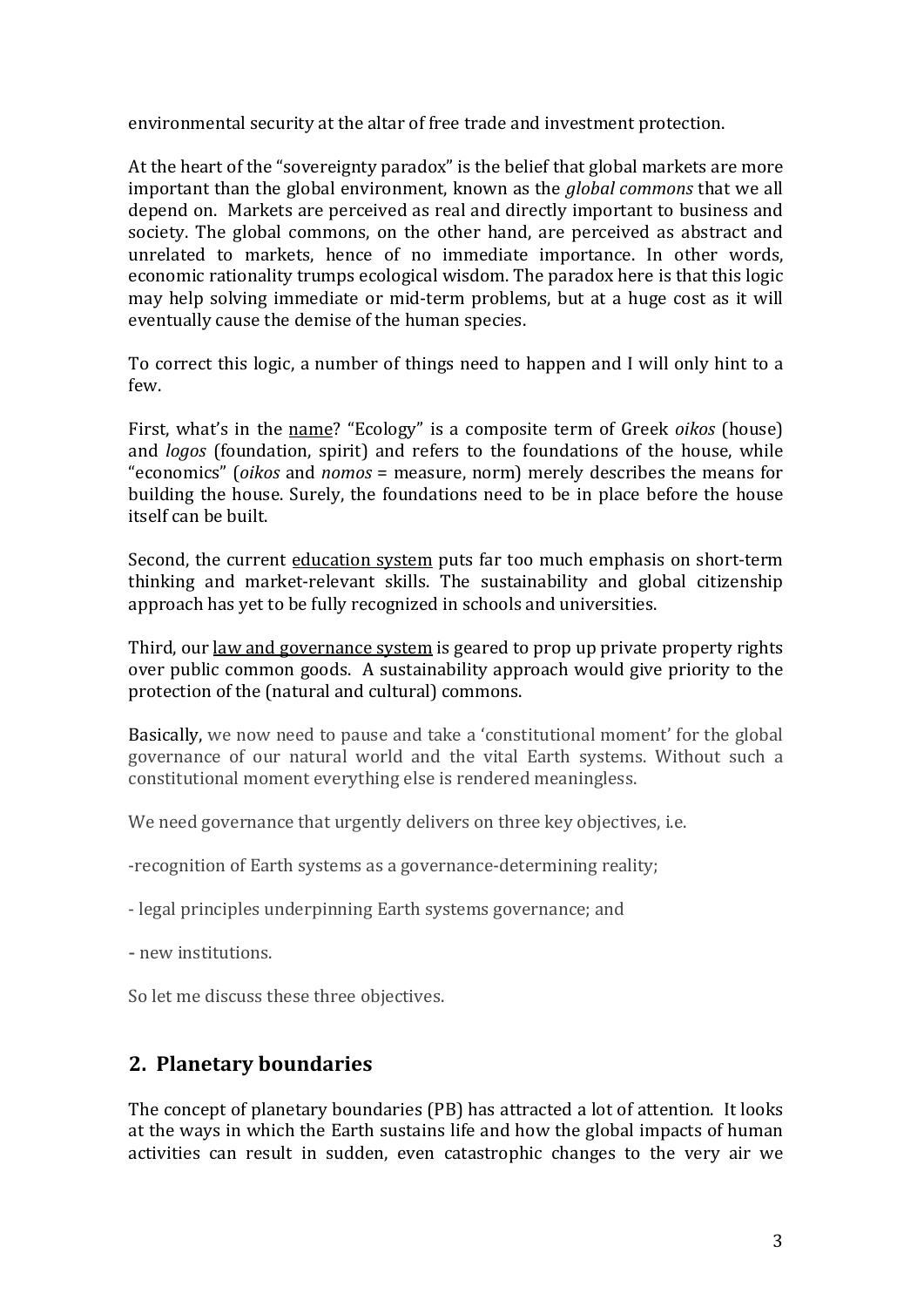environmental security at the altar of free trade and investment protection.

At the heart of the "sovereignty paradox" is the belief that global markets are more important than the global environment, known as the *global commons* that we all depend on. Markets are perceived as real and directly important to business and society. The global commons, on the other hand, are perceived as abstract and unrelated to markets, hence of no immediate importance. In other words, economic rationality trumps ecological wisdom. The paradox here is that this logic may help solving immediate or mid-term problems, but at a huge cost as it will eventually cause the demise of the human species.

To correct this logic, a number of things need to happen and I will only hint to a few.

First, what's in the <u>name</u>? "Ecology" is a composite term of Greek *oikos* (house) and *logos* (foundation, spirit) and refers to the foundations of the house, while "economics" (*oikos* and *nomos* = measure, norm) merely describes the means for building the house. Surely, the foundations need to be in place before the house itself can be built.

Second, the current education system puts far too much emphasis on short-term thinking and market-relevant skills. The sustainability and global citizenship approach has yet to be fully recognized in schools and universities.

Third, our law and governance system is geared to prop up private property rights over public common goods. A sustainability approach would give priority to the protection of the (natural and cultural) commons.

Basically, we now need to pause and take a 'constitutional moment' for the global governance of our natural world and the vital Earth systems. Without such a constitutional moment everything else is rendered meaningless.

We need governance that urgently delivers on three key objectives, i.e.

-recognition of Earth systems as a governance-determining reality;

- legal principles underpinning Earth systems governance; and

- new institutions.

So let me discuss these three objectives.

### **2. Planetary boundaries**

The concept of planetary boundaries (PB) has attracted a lot of attention. It looks at the ways in which the Earth sustains life and how the global impacts of human activities can result in sudden, even catastrophic changes to the very air we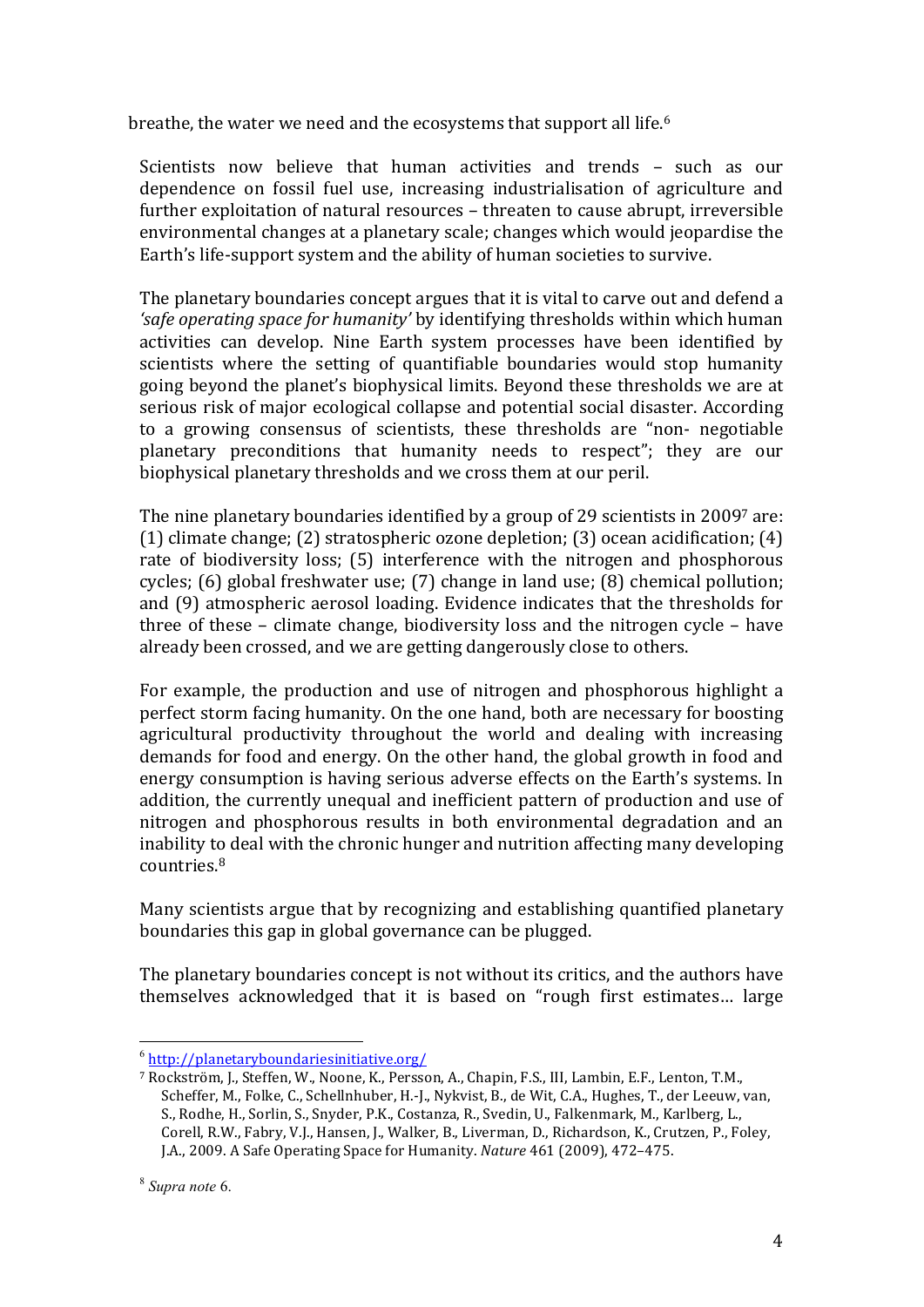breathe, the water we need and the ecosystems that support all life.<sup>6</sup>

Scientists now believe that human activities and trends - such as our dependence on fossil fuel use, increasing industrialisation of agriculture and further exploitation of natural resources – threaten to cause abrupt, irreversible environmental changes at a planetary scale; changes which would jeopardise the Earth's life-support system and the ability of human societies to survive.

The planetary boundaries concept argues that it is vital to carve out and defend a *'safe operating space for humanity'* by identifying thresholds within which human activities can develop. Nine Earth system processes have been identified by scientists where the setting of quantifiable boundaries would stop humanity going beyond the planet's biophysical limits. Beyond these thresholds we are at serious risk of major ecological collapse and potential social disaster. According to a growing consensus of scientists, these thresholds are "non- negotiable" planetary preconditions that humanity needs to respect"; they are our biophysical planetary thresholds and we cross them at our peril.

The nine planetary boundaries identified by a group of 29 scientists in 2009<sup>7</sup> are: (1) climate change; (2) stratospheric ozone depletion; (3) ocean acidification; (4) rate of biodiversity loss; (5) interference with the nitrogen and phosphorous cycles; (6) global freshwater use; (7) change in land use; (8) chemical pollution; and (9) atmospheric aerosol loading. Evidence indicates that the thresholds for three of these – climate change, biodiversity loss and the nitrogen cycle – have already been crossed, and we are getting dangerously close to others.

For example, the production and use of nitrogen and phosphorous highlight a perfect storm facing humanity. On the one hand, both are necessary for boosting agricultural productivity throughout the world and dealing with increasing demands for food and energy. On the other hand, the global growth in food and energy consumption is having serious adverse effects on the Earth's systems. In addition, the currently unequal and inefficient pattern of production and use of nitrogen and phosphorous results in both environmental degradation and an inability to deal with the chronic hunger and nutrition affecting many developing countries.8

Many scientists argue that by recognizing and establishing quantified planetary boundaries this gap in global governance can be plugged.

The planetary boundaries concept is not without its critics, and the authors have themselves acknowledged that it is based on "rough first estimates... large

!!!!!!!!!!!!!!!!!!!!!!!!!!!!!!!!!!!!!!!!!!!!!!!!!!!!!!!

<sup>6</sup> http://planetaryboundariesinitiative.org/

<sup>&</sup>lt;sup>7</sup> Rockström, J., Steffen, W., Noone, K., Persson, A., Chapin, F.S., III, Lambin, E.F., Lenton, T.M., Scheffer, M., Folke, C., Schellnhuber, H.-J., Nykvist, B., de Wit, C.A., Hughes, T., der Leeuw, van, S., Rodhe, H., Sorlin, S., Snyder, P.K., Costanza, R., Svedin, U., Falkenmark, M., Karlberg, L., Corell, R.W., Fabry, V.J., Hansen, J., Walker, B., Liverman, D., Richardson, K., Crutzen, P., Foley, J.A., 2009. A Safe Operating Space for Humanity. *Nature* 461 (2009), 472–475.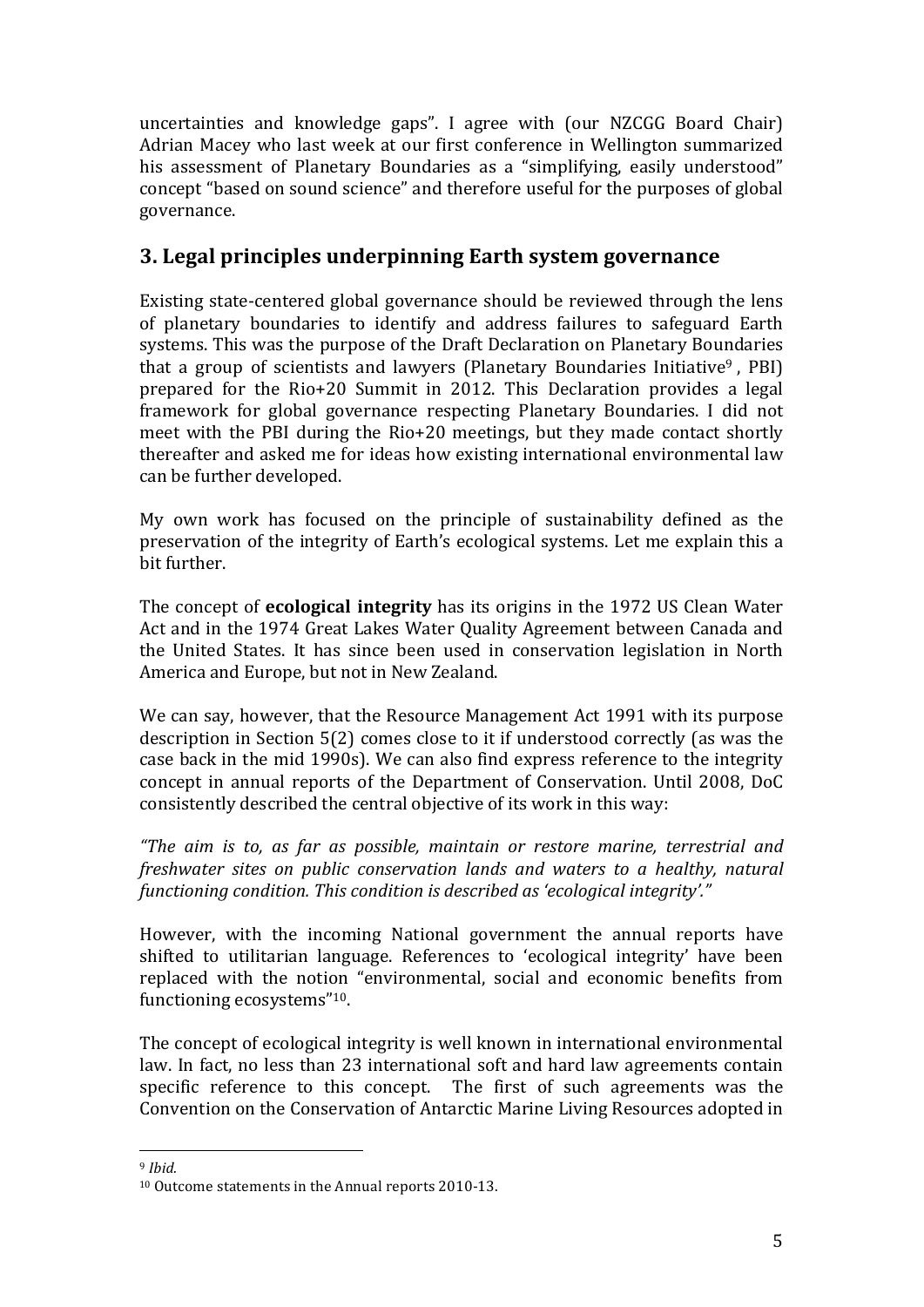uncertainties and knowledge gaps". I agree with (our NZCGG Board Chair) Adrian Macey who last week at our first conference in Wellington summarized his assessment of Planetary Boundaries as a "simplifying, easily understood" concept "based on sound science" and therefore useful for the purposes of global governance.

## **3. Legal principles underpinning Earth system governance**

Existing state-centered global governance should be reviewed through the lens of planetary boundaries to identify and address failures to safeguard Earth systems. This was the purpose of the Draft Declaration on Planetary Boundaries that a group of scientists and lawyers (Planetary Boundaries Initiative<sup>9</sup>. PBI) prepared for the Rio+20 Summit in 2012. This Declaration provides a legal framework for global governance respecting Planetary Boundaries. I did not meet with the PBI during the Rio+20 meetings, but they made contact shortly thereafter and asked me for ideas how existing international environmental law can be further developed.

My own work has focused on the principle of sustainability defined as the preservation of the integrity of Earth's ecological systems. Let me explain this a bit further.

The concept of **ecological integrity** has its origins in the 1972 US Clean Water Act and in the 1974 Great Lakes Water Quality Agreement between Canada and the United States. It has since been used in conservation legislation in North America and Europe, but not in New Zealand.

We can say, however, that the Resource Management Act 1991 with its purpose description in Section  $5(2)$  comes close to it if understood correctly (as was the case back in the mid 1990s). We can also find express reference to the integrity concept in annual reports of the Department of Conservation. Until 2008, DoC consistently described the central objective of its work in this way:

"The aim is to, as far as possible, maintain or restore marine, terrestrial and *freshwater sites on public conservation lands and waters to a healthy, natural functioning condition. This condition is described as 'ecological integrity'."* 

However, with the incoming National government the annual reports have shifted to utilitarian language. References to 'ecological integrity' have been replaced with the notion "environmental, social and economic benefits from functioning ecosystems"<sup>10</sup>.

The concept of ecological integrity is well known in international environmental law. In fact, no less than 23 international soft and hard law agreements contain specific reference to this concept. The first of such agreements was the Convention on the Conservation of Antarctic Marine Living Resources adopted in

!!!!!!!!!!!!!!!!!!!!!!!!!!!!!!!!!!!!!!!!!!!!!!!!!!!!!!! <sup>9</sup> *Ibid.*

 $10$  Outcome statements in the Annual reports 2010-13.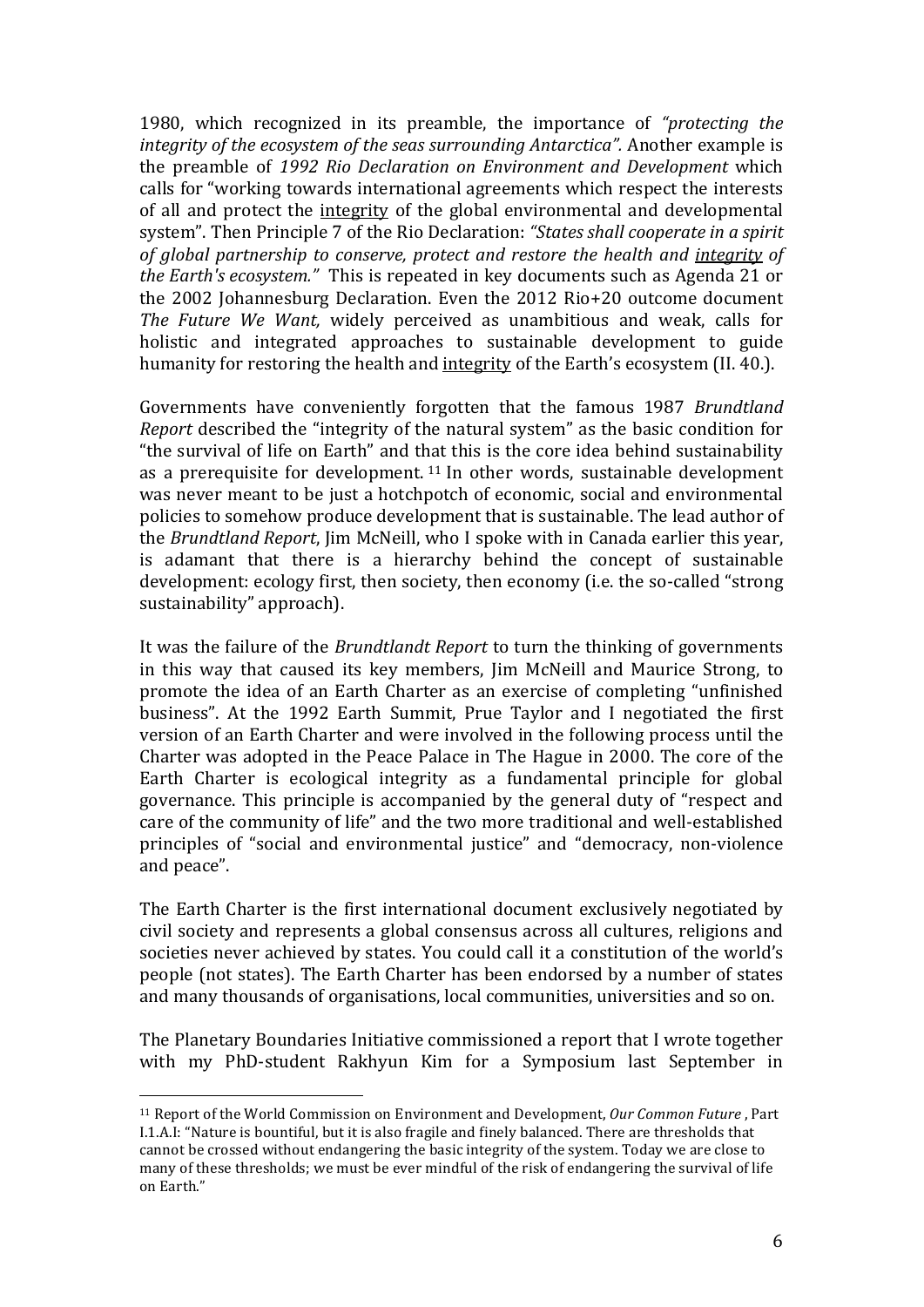1980, which recognized in its preamble, the importance of "protecting the integrity of the ecosystem of the seas surrounding Antarctica". Another example is the preamble of 1992 Rio Declaration on Environment and Development which calls for "working towards international agreements which respect the interests of all and protect the integrity of the global environmental and developmental system". Then Principle 7 of the Rio Declaration: "States shall cooperate in a spirit of global partnership to conserve, protect and restore the health and integrity of the Earth's ecosystem." This is repeated in key documents such as Agenda 21 or the 2002 Johannesburg Declaration. Even the 2012 Rio+20 outcome document The Future We Want, widely perceived as unambitious and weak, calls for holistic and integrated approaches to sustainable development to guide humanity for restoring the health and integrity of the Earth's ecosystem (II. 40.).

Governments have conveniently forgotten that the famous 1987 Brundtland Report described the "integrity of the natural system" as the basic condition for "the survival of life on Earth" and that this is the core idea behind sustainability as a prerequisite for development.  $11$  In other words, sustainable development was never meant to be just a hotchpotch of economic, social and environmental policies to somehow produce development that is sustainable. The lead author of the Brundtland Report, Jim McNeill, who I spoke with in Canada earlier this year, is adamant that there is a hierarchy behind the concept of sustainable development: ecology first, then society, then economy (i.e. the so-called "strong sustainability" approach).

It was the failure of the Brundtlandt Report to turn the thinking of governments in this way that caused its key members, Jim McNeill and Maurice Strong, to promote the idea of an Earth Charter as an exercise of completing "unfinished" business". At the 1992 Earth Summit, Prue Taylor and I negotiated the first version of an Earth Charter and were involved in the following process until the Charter was adopted in the Peace Palace in The Hague in 2000. The core of the Earth Charter is ecological integrity as a fundamental principle for global governance. This principle is accompanied by the general duty of "respect and care of the community of life" and the two more traditional and well-established principles of "social and environmental justice" and "democracy, non-violence and peace".

The Earth Charter is the first international document exclusively negotiated by civil society and represents a global consensus across all cultures, religions and societies never achieved by states. You could call it a constitution of the world's people (not states). The Earth Charter has been endorsed by a number of states and many thousands of organisations, local communities, universities and so on.

The Planetary Boundaries Initiative commissioned a report that I wrote together with my PhD-student Rakhyun Kim for a Symposium last September in

<sup>&</sup>lt;sup>11</sup> Report of the World Commission on Environment and Development, Our Common Future, Part I.1.A.I: "Nature is bountiful, but it is also fragile and finely balanced. There are thresholds that cannot be crossed without endangering the basic integrity of the system. Today we are close to many of these thresholds; we must be ever mindful of the risk of endangering the survival of life on Earth."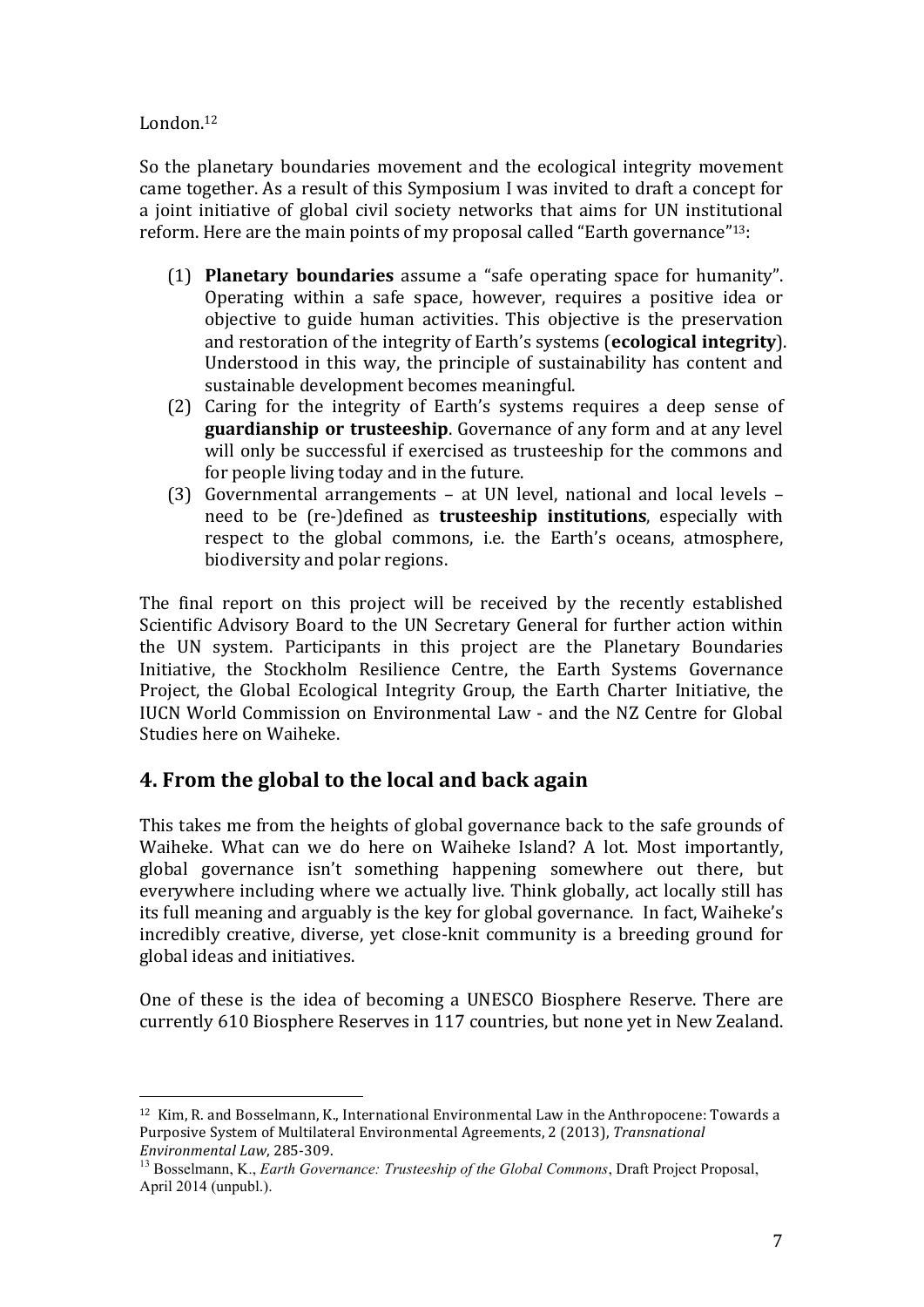### London.12

So the planetary boundaries movement and the ecological integrity movement came together. As a result of this Symposium I was invited to draft a concept for a joint initiative of global civil society networks that aims for UN institutional reform. Here are the main points of my proposal called "Earth governance"<sup>13</sup>:

- (1) **Planetary boundaries** assume a "safe operating space for humanity". Operating within a safe space, however, requires a positive idea or objective to guide human activities. This objective is the preservation and restoration of the integrity of Earth's systems (**ecological integrity**). Understood in this way, the principle of sustainability has content and sustainable development becomes meaningful.
- $(2)$  Caring for the integrity of Earth's systems requires a deep sense of **guardianship or trusteeship**. Governance of any form and at any level will only be successful if exercised as trusteeship for the commons and for people living today and in the future.
- (3) Governmental arrangements at UN level, national and local levels need to be (re-)defined as **trusteeship institutions**, especially with respect to the global commons, i.e. the Earth's oceans, atmosphere, biodiversity and polar regions.

The final report on this project will be received by the recently established Scientific Advisory Board to the UN Secretary General for further action within the UN system. Participants in this project are the Planetary Boundaries Initiative, the Stockholm Resilience Centre, the Earth Systems Governance Project, the Global Ecological Integrity Group, the Earth Charter Initiative, the IUCN World Commission on Environmental Law - and the NZ Centre for Global Studies here on Waiheke.

# **4. From the global to the local and back again**

!!!!!!!!!!!!!!!!!!!!!!!!!!!!!!!!!!!!!!!!!!!!!!!!!!!!!!!

This takes me from the heights of global governance back to the safe grounds of Waiheke. What can we do here on Waiheke Island? A lot. Most importantly, global governance isn't something happening somewhere out there, but everywhere including where we actually live. Think globally, act locally still has its full meaning and arguably is the key for global governance. In fact, Waiheke's incredibly creative, diverse, yet close-knit community is a breeding ground for global ideas and initiatives.

One of these is the idea of becoming a UNESCO Biosphere Reserve. There are currently 610 Biosphere Reserves in 117 countries, but none yet in New Zealand.

<sup>&</sup>lt;sup>12</sup> Kim, R. and Bosselmann, K., International Environmental Law in the Anthropocene: Towards a Purposive System of Multilateral Environmental Agreements, 2 (2013), *Transnational* 

*Environmental Law, 285-309. 13 Bosselmann, K., <i>Earth Governance: Trusteeship of the Global Commons*, Draft Project Proposal, April 2014 (unpubl.).